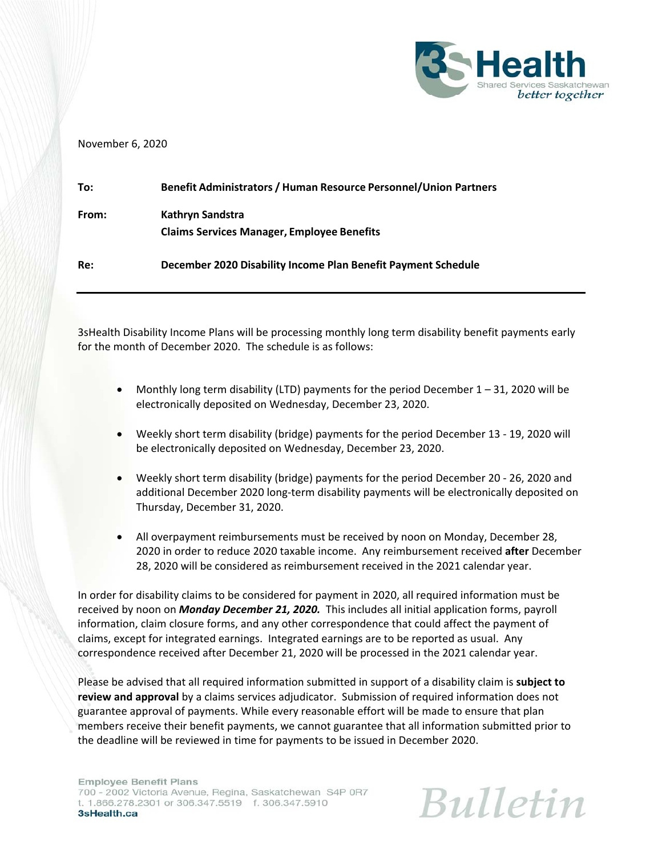

## November 6, 2020

| To:   | <b>Benefit Administrators / Human Resource Personnel/Union Partners</b> |
|-------|-------------------------------------------------------------------------|
| From: | Kathryn Sandstra<br><b>Claims Services Manager, Employee Benefits</b>   |
| Re:   | December 2020 Disability Income Plan Benefit Payment Schedule           |

3sHealth Disability Income Plans will be processing monthly long term disability benefit payments early for the month of December 2020. The schedule is as follows:

- $\bullet$  Monthly long term disability (LTD) payments for the period December 1 31, 2020 will be electronically deposited on Wednesday, December 23, 2020.
- Weekly short term disability (bridge) payments for the period December 13 ‐ 19, 2020 will be electronically deposited on Wednesday, December 23, 2020.
- Weekly short term disability (bridge) payments for the period December 20 ‐ 26, 2020 and additional December 2020 long‐term disability payments will be electronically deposited on Thursday, December 31, 2020.
- All overpayment reimbursements must be received by noon on Monday, December 28, 2020 in order to reduce 2020 taxable income. Any reimbursement received **after** December 28, 2020 will be considered as reimbursement received in the 2021 calendar year.

In order for disability claims to be considered for payment in 2020, all required information must be received by noon on *Monday December 21, 2020.* This includes all initial application forms, payroll information, claim closure forms, and any other correspondence that could affect the payment of claims, except for integrated earnings. Integrated earnings are to be reported as usual. Any correspondence received after December 21, 2020 will be processed in the 2021 calendar year.

Please be advised that all required information submitted in support of a disability claim is **subject to review and approval** by a claims services adjudicator. Submission of required information does not guarantee approval of payments. While every reasonable effort will be made to ensure that plan members receive their benefit payments, we cannot guarantee that all information submitted prior to the deadline will be reviewed in time for payments to be issued in December 2020.

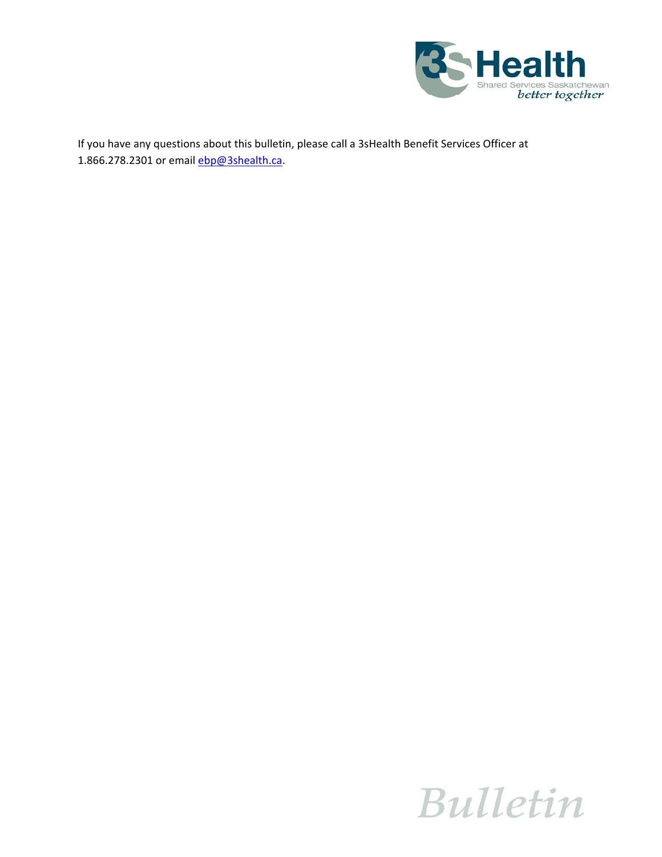

If you have any questions about this bulletin, please call a 3sHealth Benefit Services Officer at 1.866.278.2301 or email **ebp@3shealth.ca.**